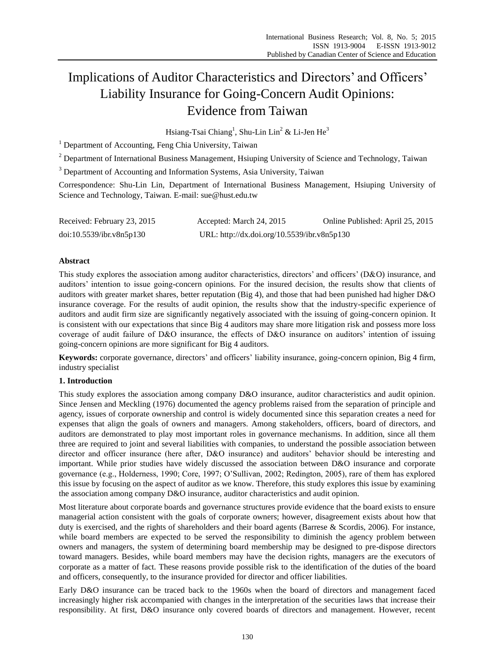# Implications of Auditor Characteristics and Directors' and Officers' Liability Insurance for Going-Concern Audit Opinions: Evidence from Taiwan

Hsiang-Tsai Chiang<sup>1</sup>, Shu-Lin Lin<sup>2</sup> & Li-Jen He<sup>3</sup>

<sup>1</sup> Department of Accounting, Feng Chia University, Taiwan

<sup>2</sup> Department of International Business Management, Hsiuping University of Science and Technology, Taiwan

<sup>3</sup> Department of Accounting and Information Systems, Asia University, Taiwan

Correspondence: Shu-Lin Lin, Department of International Business Management, Hsiuping University of Science and Technology, Taiwan. E-mail[: sue@hust.edu.tw](mailto:sue@hust.edu.tw)

| Received: February 23, 2015 | Accepted: March 24, 2015                    | Online Published: April 25, 2015 |
|-----------------------------|---------------------------------------------|----------------------------------|
| doi:10.5539/ibr.v8n5p130    | URL: http://dx.doi.org/10.5539/ibr.v8n5p130 |                                  |

# **Abstract**

This study explores the association among auditor characteristics, directors' and officers' (D&O) insurance, and auditors' intention to issue going-concern opinions. For the insured decision, the results show that clients of auditors with greater market shares, better reputation (Big 4), and those that had been punished had higher D&O insurance coverage. For the results of audit opinion, the results show that the industry-specific experience of auditors and audit firm size are significantly negatively associated with the issuing of going-concern opinion. It is consistent with our expectations that since Big 4 auditors may share more litigation risk and possess more loss coverage of audit failure of D&O insurance, the effects of D&O insurance on auditors' intention of issuing going-concern opinions are more significant for Big 4 auditors.

**Keywords:** corporate governance, directors' and officers' liability insurance, going-concern opinion, Big 4 firm, industry specialist

# **1. Introduction**

This study explores the association among company D&O insurance, auditor characteristics and audit opinion. Since Jensen and Meckling (1976) documented the agency problems raised from the separation of principle and agency, issues of corporate ownership and control is widely documented since this separation creates a need for expenses that align the goals of owners and managers. Among stakeholders, officers, board of directors, and auditors are demonstrated to play most important roles in governance mechanisms. In addition, since all them three are required to joint and several liabilities with companies, to understand the possible association between director and officer insurance (here after, D&O insurance) and auditors' behavior should be interesting and important. While prior studies have widely discussed the association between D&O insurance and corporate governance (e.g., Holderness, 1990; Core, 1997; O'Sullivan, 2002; Redington, 2005), rare of them has explored this issue by focusing on the aspect of auditor as we know. Therefore, this study explores this issue by examining the association among company D&O insurance, auditor characteristics and audit opinion.

Most literature about corporate boards and governance structures provide evidence that the board exists to ensure managerial action consistent with the goals of corporate owners; however, disagreement exists about how that duty is exercised, and the rights of shareholders and their board agents (Barrese & Scordis, 2006). For instance, while board members are expected to be served the responsibility to diminish the agency problem between owners and managers, the system of determining board membership may be designed to pre-dispose directors toward managers. Besides, while board members may have the decision rights, managers are the executors of corporate as a matter of fact. These reasons provide possible risk to the identification of the duties of the board and officers, consequently, to the insurance provided for director and officer liabilities.

Early D&O insurance can be traced back to the 1960s when the board of directors and management faced increasingly higher risk accompanied with changes in the interpretation of the securities laws that increase their responsibility. At first, D&O insurance only covered boards of directors and management. However, recent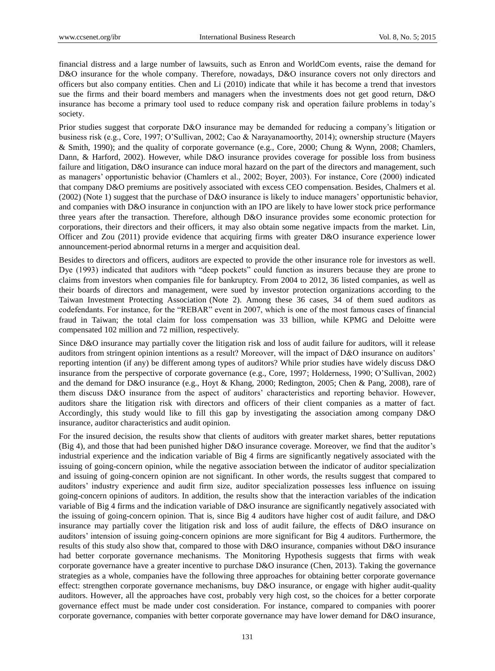financial distress and a large number of lawsuits, such as Enron and WorldCom events, raise the demand for D&O insurance for the whole company. Therefore, nowadays, D&O insurance covers not only directors and officers but also company entities. Chen and Li (2010) indicate that while it has become a trend that investors sue the firms and their board members and managers when the investments does not get good return, D&O insurance has become a primary tool used to reduce company risk and operation failure problems in today's society.

Prior studies suggest that corporate D&O insurance may be demanded for reducing a company's litigation or business risk (e.g., Core, 1997; O'Sullivan, 2002; Cao & Narayanamoorthy, 2014); ownership structure (Mayers & Smith, 1990); and the quality of corporate governance (e.g., Core, 2000; Chung & Wynn, 2008; Chamlers, Dann, & Harford, 2002). However, while D&O insurance provides coverage for possible loss from business failure and litigation, D&O insurance can induce moral hazard on the part of the directors and management, such as managers' opportunistic behavior (Chamlers et al., 2002; Boyer, 2003). For instance, Core (2000) indicated that company D&O premiums are positively associated with excess CEO compensation. Besides, Chalmers et al. (2002) (Note 1) suggest that the purchase of D&O insurance is likely to induce managers' opportunistic behavior, and companies with D&O insurance in conjunction with an IPO are likely to have lower stock price performance three years after the transaction. Therefore, although D&O insurance provides some economic protection for corporations, their directors and their officers, it may also obtain some negative impacts from the market. Lin, Officer and Zou (2011) provide evidence that acquiring firms with greater D&O insurance experience lower announcement-period abnormal returns in a merger and acquisition deal.

Besides to directors and officers, auditors are expected to provide the other insurance role for investors as well. Dye (1993) indicated that auditors with "deep pockets" could function as insurers because they are prone to claims from investors when companies file for bankruptcy. From 2004 to 2012, 36 listed companies, as well as their boards of directors and management, were sued by investor protection organizations according to the Taiwan Investment Protecting Association (Note 2). Among these 36 cases, 34 of them sued auditors as codefendants. For instance, for the "REBAR" event in 2007, which is one of the most famous cases of financial fraud in Taiwan; the total claim for loss compensation was 33 billion, while KPMG and Deloitte were compensated 102 million and 72 million, respectively.

Since D&O insurance may partially cover the litigation risk and loss of audit failure for auditors, will it release auditors from stringent opinion intentions as a result? Moreover, will the impact of D&O insurance on auditors' reporting intention (if any) be different among types of auditors? While prior studies have widely discuss D&O insurance from the perspective of corporate governance (e.g., Core, 1997; Holderness, 1990; O'Sullivan, 2002) and the demand for D&O insurance (e.g., Hoyt & Khang, 2000; Redington, 2005; Chen & Pang, 2008), rare of them discuss D&O insurance from the aspect of auditors' characteristics and reporting behavior. However, auditors share the litigation risk with directors and officers of their client companies as a matter of fact. Accordingly, this study would like to fill this gap by investigating the association among company D&O insurance, auditor characteristics and audit opinion.

For the insured decision, the results show that clients of auditors with greater market shares, better reputations (Big 4), and those that had been punished higher D&O insurance coverage. Moreover, we find that the auditor's industrial experience and the indication variable of Big 4 firms are significantly negatively associated with the issuing of going-concern opinion, while the negative association between the indicator of auditor specialization and issuing of going-concern opinion are not significant. In other words, the results suggest that compared to auditors' industry experience and audit firm size, auditor specialization possesses less influence on issuing going-concern opinions of auditors. In addition, the results show that the interaction variables of the indication variable of Big 4 firms and the indication variable of D&O insurance are significantly negatively associated with the issuing of going-concern opinion. That is, since Big 4 auditors have higher cost of audit failure, and D&O insurance may partially cover the litigation risk and loss of audit failure, the effects of D&O insurance on auditors' intension of issuing going-concern opinions are more significant for Big 4 auditors. Furthermore, the results of this study also show that, compared to those with D&O insurance, companies without D&O insurance had better corporate governance mechanisms. The Monitoring Hypothesis suggests that firms with weak corporate governance have a greater incentive to purchase D&O insurance (Chen, 2013). Taking the governance strategies as a whole, companies have the following three approaches for obtaining better corporate governance effect: strengthen corporate governance mechanisms, buy D&O insurance, or engage with higher audit-quality auditors. However, all the approaches have cost, probably very high cost, so the choices for a better corporate governance effect must be made under cost consideration. For instance, compared to companies with poorer corporate governance, companies with better corporate governance may have lower demand for D&O insurance,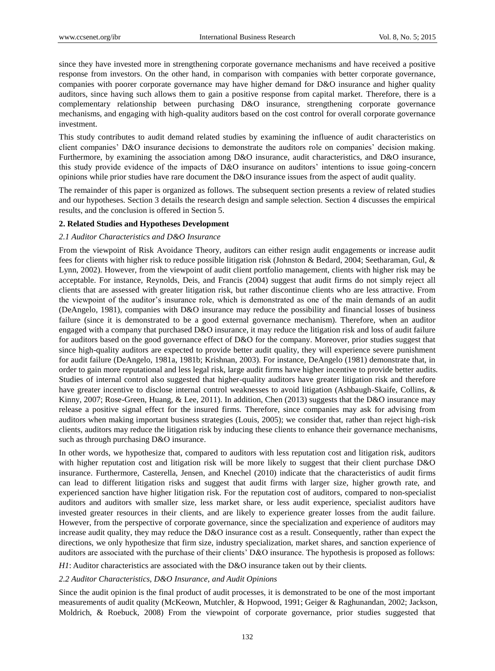since they have invested more in strengthening corporate governance mechanisms and have received a positive response from investors. On the other hand, in comparison with companies with better corporate governance, companies with poorer corporate governance may have higher demand for D&O insurance and higher quality auditors, since having such allows them to gain a positive response from capital market. Therefore, there is a complementary relationship between purchasing D&O insurance, strengthening corporate governance mechanisms, and engaging with high-quality auditors based on the cost control for overall corporate governance investment.

This study contributes to audit demand related studies by examining the influence of audit characteristics on client companies' D&O insurance decisions to demonstrate the auditors role on companies' decision making. Furthermore, by examining the association among D&O insurance, audit characteristics, and D&O insurance, this study provide evidence of the impacts of D&O insurance on auditors' intentions to issue going-concern opinions while prior studies have rare document the D&O insurance issues from the aspect of audit quality.

The remainder of this paper is organized as follows. The subsequent section presents a review of related studies and our hypotheses. Section 3 details the research design and sample selection. Section 4 discusses the empirical results, and the conclusion is offered in Section 5.

## **2. Related Studies and Hypotheses Development**

#### *2.1 Auditor Characteristics and D&O Insurance*

From the viewpoint of Risk Avoidance Theory, auditors can either resign audit engagements or increase audit fees for clients with higher risk to reduce possible litigation risk (Johnston & Bedard, 2004; Seetharaman, Gul, & Lynn, 2002). However, from the viewpoint of audit client portfolio management, clients with higher risk may be acceptable. For instance, Reynolds, Deis, and Francis (2004) suggest that audit firms do not simply reject all clients that are assessed with greater litigation risk, but rather discontinue clients who are less attractive. From the viewpoint of the auditor's insurance role, which is demonstrated as one of the main demands of an audit (DeAngelo, 1981), companies with D&O insurance may reduce the possibility and financial losses of business failure (since it is demonstrated to be a good external governance mechanism). Therefore, when an auditor engaged with a company that purchased D&O insurance, it may reduce the litigation risk and loss of audit failure for auditors based on the good governance effect of D&O for the company. Moreover, prior studies suggest that since high-quality auditors are expected to provide better audit quality, they will experience severe punishment for audit failure (DeAngelo, 1981a, 1981b; Krishnan, 2003). For instance, DeAngelo (1981) demonstrate that, in order to gain more reputational and less legal risk, large audit firms have higher incentive to provide better audits. Studies of internal control also suggested that higher-quality auditors have greater litigation risk and therefore have greater incentive to disclose internal control weaknesses to avoid litigation (Ashbaugh-Skaife, Collins, & Kinny, 2007; Rose-Green, Huang, & Lee, 2011). In addition, Chen (2013) suggests that the D&O insurance may release a positive signal effect for the insured firms. Therefore, since companies may ask for advising from auditors when making important business strategies (Louis, 2005); we consider that, rather than reject high-risk clients, auditors may reduce the litigation risk by inducing these clients to enhance their governance mechanisms, such as through purchasing D&O insurance.

In other words, we hypothesize that, compared to auditors with less reputation cost and litigation risk, auditors with higher reputation cost and litigation risk will be more likely to suggest that their client purchase D&O insurance. Furthermore, Casterella, Jensen, and Knechel (2010) indicate that the characteristics of audit firms can lead to different litigation risks and suggest that audit firms with larger size, higher growth rate, and experienced sanction have higher litigation risk. For the reputation cost of auditors, compared to non-specialist auditors and auditors with smaller size, less market share, or less audit experience, specialist auditors have invested greater resources in their clients, and are likely to experience greater losses from the audit failure. However, from the perspective of corporate governance, since the specialization and experience of auditors may increase audit quality, they may reduce the D&O insurance cost as a result. Consequently, rather than expect the directions, we only hypothesize that firm size, industry specialization, market shares, and sanction experience of auditors are associated with the purchase of their clients' D&O insurance. The hypothesis is proposed as follows:

*H1*: Auditor characteristics are associated with the D&O insurance taken out by their clients*.*

## *2.2 Auditor Characteristics, D&O Insurance, and Audit Opinions*

Since the audit opinion is the final product of audit processes, it is demonstrated to be one of the most important measurements of audit quality (McKeown, Mutchler, & Hopwood, 1991; Geiger & Raghunandan, 2002; Jackson, Moldrich, & Roebuck, 2008) From the viewpoint of corporate governance, prior studies suggested that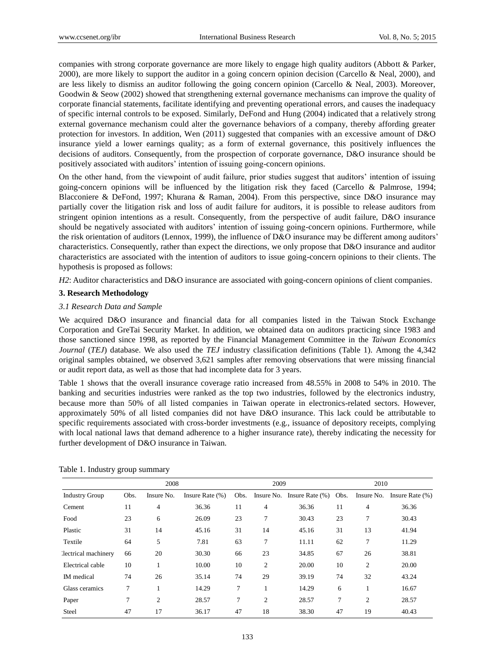companies with strong corporate governance are more likely to engage high quality auditors (Abbott & Parker, 2000), are more likely to support the auditor in a going concern opinion decision (Carcello & Neal, 2000), and are less likely to dismiss an auditor following the going concern opinion (Carcello & Neal, 2003). Moreover, Goodwin & Seow (2002) showed that strengthening external governance mechanisms can improve the quality of corporate financial statements, facilitate identifying and preventing operational errors, and causes the inadequacy of specific internal controls to be exposed. Similarly, DeFond and Hung (2004) indicated that a relatively strong external governance mechanism could alter the governance behaviors of a company, thereby affording greater protection for investors. In addition, Wen (2011) suggested that companies with an excessive amount of D&O insurance yield a lower earnings quality; as a form of external governance, this positively influences the decisions of auditors. Consequently, from the prospection of corporate governance, D&O insurance should be positively associated with auditors' intention of issuing going-concern opinions.

On the other hand, from the viewpoint of audit failure, prior studies suggest that auditors' intention of issuing going-concern opinions will be influenced by the litigation risk they faced (Carcello & Palmrose, 1994; Blacconiere & DeFond, 1997; Khurana & Raman, 2004). From this perspective, since D&O insurance may partially cover the litigation risk and loss of audit failure for auditors, it is possible to release auditors from stringent opinion intentions as a result. Consequently, from the perspective of audit failure, D&O insurance should be negatively associated with auditors' intention of issuing going-concern opinions. Furthermore, while the risk orientation of auditors (Lennox, 1999), the influence of D&O insurance may be different among auditors' characteristics. Consequently, rather than expect the directions, we only propose that D&O insurance and auditor characteristics are associated with the intention of auditors to issue going-concern opinions to their clients. The hypothesis is proposed as follows:

*H2*: Auditor characteristics and D&O insurance are associated with going-concern opinions of client companies.

## **3. Research Methodology**

## *3.1 Research Data and Sample*

We acquired D&O insurance and financial data for all companies listed in the Taiwan Stock Exchange Corporation and GreTai Security Market. In addition, we obtained data on auditors practicing since 1983 and those sanctioned since 1998, as reported by the Financial Management Committee in the *Taiwan Economics Journal* (*TEJ*) database. We also used the *TEJ* industry classification definitions (Table 1). Among the 4,342 original samples obtained, we observed 3,621 samples after removing observations that were missing financial or audit report data, as well as those that had incomplete data for 3 years.

Table 1 shows that the overall insurance coverage ratio increased from 48.55% in 2008 to 54% in 2010. The banking and securities industries were ranked as the top two industries, followed by the electronics industry, because more than 50% of all listed companies in Taiwan operate in electronics-related sectors. However, approximately 50% of all listed companies did not have D&O insurance. This lack could be attributable to specific requirements associated with cross-border investments (e.g., issuance of depository receipts, complying with local national laws that demand adherence to a higher insurance rate), thereby indicating the necessity for further development of D&O insurance in Taiwan.

|                       |      | 2008           |                     |      | 2009           |                     | 2010   |                |                    |  |
|-----------------------|------|----------------|---------------------|------|----------------|---------------------|--------|----------------|--------------------|--|
| <b>Industry Group</b> | Obs. | Insure No.     | Insure Rate $(\% )$ | Obs. | Insure No.     | Insure Rate $(\% )$ | Obs.   | Insure No.     | Insure Rate $(\%)$ |  |
| Cement                | 11   | $\overline{4}$ | 36.36               | 11   | $\overline{4}$ | 36.36               | 11     | 4              | 36.36              |  |
| Food                  | 23   | 6              | 26.09               | 23   | $\overline{7}$ | 30.43               | 23     | 7              | 30.43              |  |
| Plastic               | 31   | 14             | 45.16               | 31   | 14             | 45.16               | 31     | 13             | 41.94              |  |
| Textile               | 64   | 5              | 7.81                | 63   | 7              | 11.11               | 62     | 7              | 11.29              |  |
| lectrical machinery   | 66   | 20             | 30.30               | 66   | 23             | 34.85               | 67     | 26             | 38.81              |  |
| Electrical cable      | 10   |                | 10.00               | 10   | $\overline{2}$ | 20.00               | 10     | $\overline{2}$ | 20.00              |  |
| IM medical            | 74   | 26             | 35.14               | 74   | 29             | 39.19               | 74     | 32             | 43.24              |  |
| Glass ceramics        | 7    |                | 14.29               | 7    | 1              | 14.29               | 6      | 1              | 16.67              |  |
| Paper                 | 7    | 2              | 28.57               | 7    | 2              | 28.57               | $\tau$ | $\overline{c}$ | 28.57              |  |
| <b>Steel</b>          | 47   | 17             | 36.17               | 47   | 18             | 38.30               | 47     | 19             | 40.43              |  |

Table 1. Industry group summary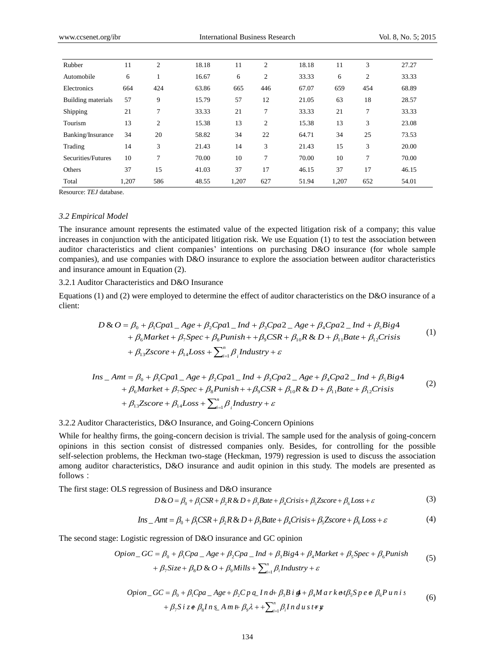| Rubber             | 11    | $\overline{2}$ | 18.18 | 11    | $\overline{2}$ | 18.18 | 11    | 3              | 27.27 |
|--------------------|-------|----------------|-------|-------|----------------|-------|-------|----------------|-------|
| Automobile         | 6     | 1              | 16.67 | 6     | $\overline{2}$ | 33.33 | 6     | $\overline{2}$ | 33.33 |
| Electronics        | 664   | 424            | 63.86 | 665   | 446            | 67.07 | 659   | 454            | 68.89 |
| Building materials | 57    | 9              | 15.79 | 57    | 12             | 21.05 | 63    | 18             | 28.57 |
| Shipping           | 21    | $\overline{7}$ | 33.33 | 21    | $\overline{7}$ | 33.33 | 21    | 7              | 33.33 |
| Tourism            | 13    | $\overline{c}$ | 15.38 | 13    | $\overline{2}$ | 15.38 | 13    | 3              | 23.08 |
| Banking/Insurance  | 34    | 20             | 58.82 | 34    | 22             | 64.71 | 34    | 25             | 73.53 |
| Trading            | 14    | 3              | 21.43 | 14    | 3              | 21.43 | 15    | 3              | 20.00 |
| Securities/Futures | 10    | $\overline{7}$ | 70.00 | 10    | 7              | 70.00 | 10    | 7              | 70.00 |
| Others             | 37    | 15             | 41.03 | 37    | 17             | 46.15 | 37    | 17             | 46.15 |
| Total              | 1,207 | 586            | 48.55 | 1,207 | 627            | 51.94 | 1,207 | 652            | 54.01 |

Resource: *TEJ* database.

#### *3.2 Empirical Model*

The insurance amount represents the estimated value of the expected litigation risk of a company; this value increases in conjunction with the anticipated litigation risk. We use Equation (1) to test the association between auditor characteristics and client companies' intentions on purchasing D&O insurance (for whole sample companies), and use companies with D&O insurance to explore the association between auditor characteristics and insurance amount in Equation (2).

3.2.1 Auditor Characteristics and D&O Insurance

Equations (1) and (2) were employed to determine the effect of auditor characteristics on the D&O insurance of a client:

$$
D & O = \beta_0 + \beta_1 Cpal \_Age + \beta_2 Cpal \_Ind + \beta_3 Cpa2 \_Age + \beta_4 Cpa2 \_Ind + \beta_5 Big4
$$
\n
$$
+ \beta_6 Market + \beta_7 Spec + \beta_8 Punish + \beta_9CSR + \beta_{10}R & D + \beta_{11} Bate + \beta_{12} Crisis
$$
\n
$$
+ \beta_{13} Z score + \beta_{14} Loss + \sum_{i=1}^{n} \beta_i Industry + \varepsilon
$$
\n
$$
(1)
$$

$$
Ins\_Amt = \beta_0 + \beta_1 Cpal\_Age + \beta_2 Cpal\_Ind + \beta_3 Cpa2\_Age + \beta_4 Cpa2\_Ind + \beta_5 Big4
$$
  
+  $\beta_6 Market + \beta_7 Spec + \beta_8 Punish + \beta_9 CSR + \beta_{10} R \& D + \beta_{11} Bate + \beta_{12} Crisis$   
+  $\beta_{13} Zscore + \beta_{14} Loss + \sum_{i=1}^{n} \beta_i Industry + \varepsilon$  (2)

## 3.2.2 Auditor Characteristics, D&O Insurance, and Going-Concern Opinions

While for healthy firms, the going-concern decision is trivial. The sample used for the analysis of going-concern opinions in this section consist of distressed companies only. Besides, for controlling for the possible self-selection problems, the Heckman two-stage (Heckman, 1979) regression is used to discuss the association among auditor characteristics, D&O insurance and audit opinion in this study. The models are presented as follows:

The first stage: OLS regression of Business and D&O insurance

$$
D & O = \beta_0 + \beta_1 \text{CSR} + \beta_2 \text{R} & D + \beta_3 \text{Rate} + \beta_4 \text{Crisis} + \beta_5 \text{Zscore} + \beta_6 \text{Loss} + \varepsilon \tag{3}
$$

$$
Ins\_Amt = \beta_0 + \beta_1 \text{CSR} + \beta_2 R \& D + \beta_3 Bate + \beta_4 \text{Crisis} + \beta_5 \text{Zscore} + \beta_6 \text{Loss} + \varepsilon
$$
 (4)

The second stage: Logistic regression of D&O insurance and GC opinion

$$
Option\_GC = \beta_0 + \beta_1 Cpa\_Age + \beta_2 Cpa\_Ind + \beta_3 Big4 + \beta_4 Market + \beta_5 Spec + \beta_6 Punish
$$
  
+  $\beta_7 Size + \beta_8 D \& O + \beta_9 Mills + \sum_{i=1}^{n} \beta_i Industry + \varepsilon$  (5)

$$
Option\_GC = \beta_0 + \beta_1 Cpa\_Age + \beta_2 Cp a\_Ind + \beta_3 Bi \cancel{\theta} + \beta_4 M a \, r \, k \, \text{et} \beta_5 Sp \, e \, \text{et} \, \beta_6 P \, u \, n \, i \, s
$$
  
+ 
$$
\beta_7 Si \, z \, \text{et} \, \beta_8 In \, s\_Am + \beta_9 \lambda + \sum_{i=1}^n \beta_i In \, d \, u \, s \, t \, \text{et}
$$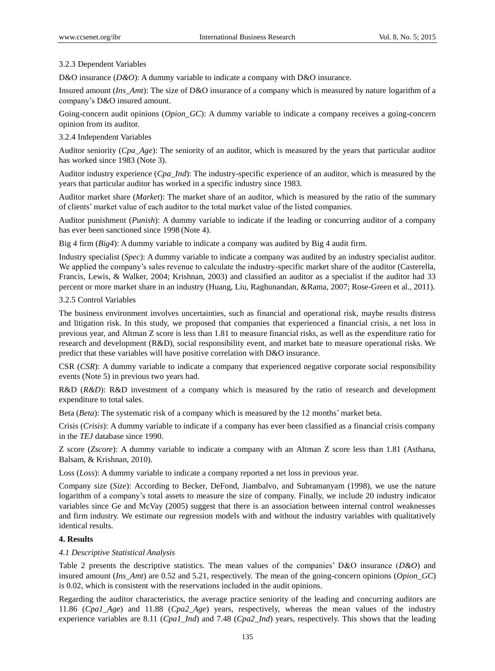## 3.2.3 Dependent Variables

D&O insurance (*D&O*): A dummy variable to indicate a company with D&O insurance.

Insured amount (*Ins\_Amt*): The size of D&O insurance of a company which is measured by nature logarithm of a company's D&O insured amount.

Going-concern audit opinions (*Opion\_GC*): A dummy variable to indicate a company receives a going-concern opinion from its auditor.

3.2.4 Independent Variables

Auditor seniority (*Cpa\_Age*): The seniority of an auditor, which is measured by the years that particular auditor has worked since 1983 (Note 3).

Auditor industry experience (*Cpa\_Ind*): The industry-specific experience of an auditor, which is measured by the years that particular auditor has worked in a specific industry since 1983.

Auditor market share (*Market*): The market share of an auditor, which is measured by the ratio of the summary of clients' market value of each auditor to the total market value of the listed companies.

Auditor punishment (*Punish*): A dummy variable to indicate if the leading or concurring auditor of a company has ever been sanctioned since 1998 (Note 4).

Big 4 firm (*Big4*): A dummy variable to indicate a company was audited by Big 4 audit firm.

Industry specialist (*Spec*): A dummy variable to indicate a company was audited by an industry specialist auditor. We applied the company's sales revenue to calculate the industry-specific market share of the auditor (Casterella, Francis, Lewis, & Walker, 2004; Krishnan, 2003) and classified an auditor as a specialist if the auditor had 33 percent or more market share in an industry (Huang, Liu, Raghunandan, &Rama, 2007; Rose-Green et al., 2011).

## 3.2.5 Control Variables

The business environment involves uncertainties, such as financial and operational risk, maybe results distress and litigation risk. In this study, we proposed that companies that experienced a financial crisis, a net loss in previous year, and Altman Z score is less than 1.81 to measure financial risks, as well as the expenditure ratio for research and development (R&D), social responsibility event, and market bate to measure operational risks. We predict that these variables will have positive correlation with D&O insurance.

CSR (*CSR*): A dummy variable to indicate a company that experienced negative corporate social responsibility events (Note 5) in previous two years had.

R&D (*R&D*): R&D investment of a company which is measured by the ratio of research and development expenditure to total sales.

Beta (*Beta*): The systematic risk of a company which is measured by the 12 months' market beta.

Crisis (*Crisis*): A dummy variable to indicate if a company has ever been classified as a financial crisis company in the *TEJ* database since 1990.

Z score (*Zscore*): A dummy variable to indicate a company with an Altman Z score less than 1.81 (Asthana, Balsam, & Krishnan, 2010).

Loss (*Loss*): A dummy variable to indicate a company reported a net loss in previous year.

Company size (*Size*): According to Becker, DeFond, Jiambalvo, and Subramanyam (1998), we use the nature logarithm of a company's total assets to measure the size of company. Finally, we include 20 industry indicator variables since Ge and McVay (2005) suggest that there is an association between internal control weaknesses and firm industry. We estimate our regression models with and without the industry variables with qualitatively identical results.

# **4. Results**

## *4.1 Descriptive Statistical Analysis*

Table 2 presents the descriptive statistics. The mean values of the companies' D&O insurance (*D&O*) and insured amount (*Ins\_Amt*) are 0.52 and 5.21, respectively. The mean of the going-concern opinions (*Opion*\_*GC*) is 0.02, which is consistent with the reservations included in the audit opinions.

Regarding the auditor characteristics, the average practice seniority of the leading and concurring auditors are 11.86 (*Cpa1\_Age*) and 11.88 (*Cpa2\_Age*) years, respectively, whereas the mean values of the industry experience variables are 8.11 (*Cpa1\_Ind*) and 7.48 (*Cpa2\_Ind*) years, respectively. This shows that the leading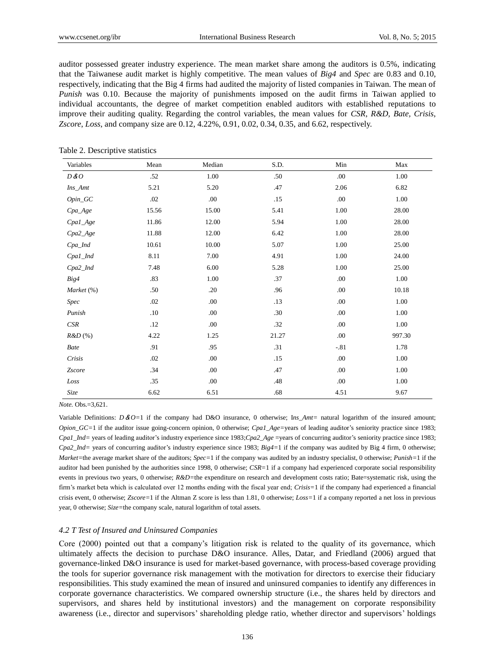auditor possessed greater industry experience. The mean market share among the auditors is 0.5%, indicating that the Taiwanese audit market is highly competitive. The mean values of *Big4* and *Spec* are 0.83 and 0.10, respectively, indicating that the Big 4 firms had audited the majority of listed companies in Taiwan. The mean of *Punish* was 0.10. Because the majority of punishments imposed on the audit firms in Taiwan applied to individual accountants, the degree of market competition enabled auditors with established reputations to improve their auditing quality. Regarding the control variables, the mean values for *CSR*, *R&D, Bate, Crisis*, *Zscore*, *Loss*, and company size are 0.12, 4.22%, 0.91, 0.02, 0.34, 0.35, and 6.62, respectively.

| Variables            | Mean  | Median  | S.D.  | Min    | Max    |
|----------------------|-------|---------|-------|--------|--------|
| $D\&O$               | .52   | 1.00    | .50   | .00.   | 1.00   |
| Ins_Amt              | 5.21  | 5.20    | .47   | 2.06   | 6.82   |
| $Opin\_GC$           | .02   | .00     | .15   | .00.   | 1.00   |
| Cpa_Age              | 15.56 | 15.00   | 5.41  | 1.00   | 28.00  |
| $Cpal\_Age$          | 11.86 | 12.00   | 5.94  | 1.00   | 28.00  |
| Cpa2_Age             | 11.88 | 12.00   | 6.42  | 1.00   | 28.00  |
| $Cpa\_Ind$           | 10.61 | 10.00   | 5.07  | 1.00   | 25.00  |
| Cpal_Ind             | 8.11  | 7.00    | 4.91  | 1.00   | 24.00  |
| $Cpa2\_Ind$          | 7.48  | 6.00    | 5.28  | 1.00   | 25.00  |
| Big4                 | .83   | 1.00    | .37   | .00.   | 1.00   |
| Market (%)           | .50   | .20     | .96   | .00.   | 10.18  |
| <b>Spec</b>          | .02   | .00     | .13   | .00    | 1.00   |
| Punish               | .10   | .00     | .30   | .00    | 1.00   |
| CSR                  | .12   | $.00\,$ | .32   | .00.   | 1.00   |
| $R&D\left(\%\right)$ | 4.22  | 1.25    | 21.27 | .00.   | 997.30 |
| <b>Bate</b>          | .91   | .95     | .31   | $-.81$ | 1.78   |
| Crisis               | .02   | .00     | .15   | .00    | 1.00   |
| Zscore               | .34   | .00     | .47   | .00    | 1.00   |
| Loss                 | .35   | $.00\,$ | .48   | .00.   | 1.00   |
| Size                 | 6.62  | 6.51    | .68   | 4.51   | 9.67   |

#### Table 2. Descriptive statistics

*Note.* Obs.=3,621.

Variable Definitions: *D*&*O=*1 if the company had D&O insurance, 0 otherwise; I*ns\_Amt=* natural logarithm of the insured amount; *Opion\_GC=*1 if the auditor issue going-concern opinion, 0 otherwise; *Cpa1\_Age=*years of leading auditor's seniority practice since 1983; *Cpa1\_Ind=* years of leading auditor's industry experience since 1983;*Cpa2\_Age* =years of concurring auditor's seniority practice since 1983; *Cpa2\_Ind=* years of concurring auditor's industry experience since 1983; *Big4=*1 if the company was audited by Big 4 firm, 0 otherwise; *Market=*the average market share of the auditors; *Spec=*1 if the company was audited by an industry specialist, 0 otherwise; *Punish=*1 if the auditor had been punished by the authorities since 1998, 0 otherwise; *CSR=*1 if a company had experienced corporate social responsibility events in previous two years, 0 otherwise;  $R\&D$ =the expenditure on research and development costs ratio; Bate=systematic risk, using the firm's market beta which is calculated over 12 months ending with the fiscal year end; *Crisis=*1 if the company had experienced a financial crisis event, 0 otherwise; *Zscore=*1 if the Altman Z score is less than 1.81, 0 otherwise; *Loss=*1 if a company reported a net loss in previous year, 0 otherwise; *Size=*the company scale, natural logarithm of total assets.

#### *4.2 T Test of Insured and Uninsured Companies*

Core (2000) pointed out that a company's litigation risk is related to the quality of its governance, which ultimately affects the decision to purchase D&O insurance. Alles, Datar, and Friedland (2006) argued that governance-linked D&O insurance is used for market-based governance, with process-based coverage providing the tools for superior governance risk management with the motivation for directors to exercise their fiduciary responsibilities. This study examined the mean of insured and uninsured companies to identify any differences in corporate governance characteristics. We compared ownership structure (i.e., the shares held by directors and supervisors, and shares held by institutional investors) and the management on corporate responsibility awareness (i.e., director and supervisors' shareholding pledge ratio, whether director and supervisors' holdings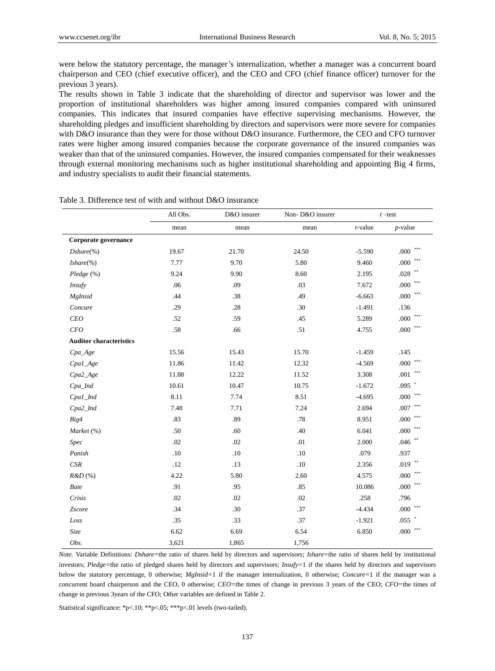were below the statutory percentage, the manager's internalization, whether a manager was a concurrent board chairperson and CEO (chief executive officer), and the CEO and CFO (chief finance officer) turnover for the previous 3 years).

The results shown in Table 3 indicate that the shareholding of director and supervisor was lower and the proportion of institutional shareholders was higher among insured companies compared with uninsured companies. This indicates that insured companies have effective supervising mechanisms. However, the shareholding pledges and insufficient shareholding by directors and supervisors were more severe for companies with D&O insurance than they were for those without D&O insurance. Furthermore, the CEO and CFO turnover rates were higher among insured companies because the corporate governance of the insured companies was weaker than that of the uninsured companies. However, the insured companies compensated for their weaknesses through external monitoring mechanisms such as higher institutional shareholding and appointing Big 4 firms, and industry specialists to audit their financial statements.

|                                | All Obs. | D&O insurer | Non-D&O insurer |            | $t$ -test                              |
|--------------------------------|----------|-------------|-----------------|------------|----------------------------------------|
|                                | mean     | mean        | mean            | $t$ -value | $p$ -value                             |
| Corporate governance           |          |             |                 |            |                                        |
| $Dshare(\%)$                   | 19.67    | 21.70       | 24.50           | $-5.590$   | $***$<br>.000                          |
| $Ishare(\%)$                   | 7.77     | 9.70        | 5.80            | 9.460      | $.000$                                 |
| $Pledge\left(\% \right)$       | 9.24     | 9.90        | 8.60            | 2.195      | .028                                   |
| <b>Insufy</b>                  | .06      | .09         | .03             | 7.672      | .000                                   |
| MgInsid                        | .44      | .38         | .49             | $-6.663$   | .000                                   |
| Concure                        | .29      | .28         | .30             | $-1.491$   | .136                                   |
| $CEO$                          | .52      | .59         | .45             | 5.289      | .000                                   |
| CFO                            | .58      | .66         | .51             | 4.755      | $.000$ $\hspace{0.1cm}^{\ast\ast\ast}$ |
| <b>Auditor characteristics</b> |          |             |                 |            |                                        |
| Cpa_Age                        | 15.56    | 15.43       | 15.70           | $-1.459$   | .145                                   |
| Cpal_Age                       | 11.86    | 11.42       | 12.32           | $-4.569$   | .000                                   |
| Cpa2_Age                       | 11.88    | 12.22       | 11.52           | 3.308      | .001                                   |
| Cpa_Ind                        | 10.61    | 10.47       | 10.75           | $-1.672$   | $.095$ $\hspace{0.1cm}^*$              |
| Cpal_Ind                       | 8.11     | 7.74        | 8.51            | $-4.695$   | .000                                   |
| Cpa2_Ind                       | 7.48     | 7.71        | 7.24            | 2.694      | $***$<br>.007                          |
| Big4                           | .83      | .89         | .78             | 8.951      | ***<br>.000                            |
| Market (%)                     | .50      | .60         | .40             | 6.041      | .000                                   |
| <b>Spec</b>                    | .02      | .02         | .01             | 2.000      | .046 $*$                               |
| Punish                         | $.10\,$  | $.10\,$     | .10             | .079       | .937                                   |
| CSR                            | .12      | .13         | .10             | 2.356      | .019 **                                |
| R&D(%)                         | 4.22     | 5.80        | 2.60            | 4.575      | $.000$ $\hspace{0.1cm}^{\ast\ast\ast}$ |
| <b>Bate</b>                    | .91      | .95         | .85             | 10.086     | $.000$ $\hspace{0.1cm}^{\ast\ast\ast}$ |
| Crisis                         | $.02\,$  | .02         | .02             | .258       | .796                                   |
| Zscore                         | .34      | .30         | .37             | $-4.434$   | .000                                   |
| Loss                           | .35      | .33         | .37             | $-1.921$   | $.055$ $\hspace{0.1cm}^*$              |
| Size                           | 6.62     | 6.69        | 6.54            | 6.850      | $.000$ $\hspace{0.1cm}^{\ast\ast\ast}$ |
| Obs.                           | 3,621    | 1,865       | 1,756           |            |                                        |

Table 3. Difference test of with and without D&O insurance

*Note.* Variable Definitions: *Dshare=*the ratio of shares held by directors and supervisors; *Ishare=*the ratio of shares held by institutional investors; *Pledge=*the ratio of pledged shares held by directors and supervisors; *Insufy=*1 if the shares held by directors and supervisors below the statutory percentage, 0 otherwise; *MgInsid=*1 if the manager internalization, 0 otherwise; *Concure=*1 if the manager was a concurrent board chairperson and the CEO, 0 otherwise; *CEO=*the times of change in previous 3 years of the CEO; *CFO=*the times of change in previous 3years of the CFO; Other variables are defined in Table 2.

Statistical significance: \*p<.10; \*\*p<.05; \*\*\*p<.01 levels (two-tailed).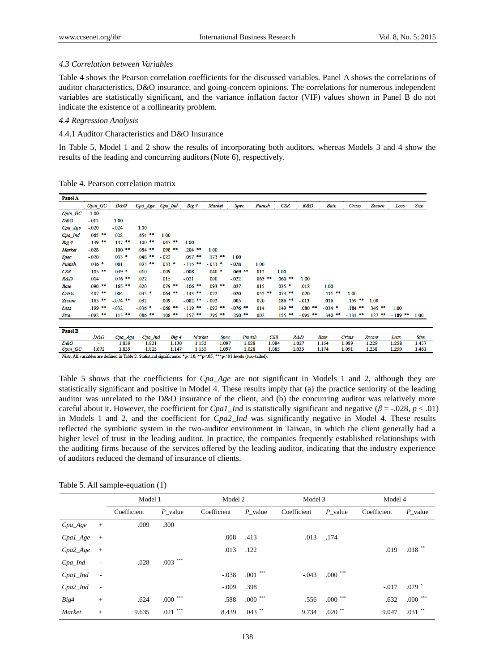### *4.3 Correlation between Variables*

Table 4 shows the Pearson correlation coefficients for the discussed variables. Panel A shows the correlations of auditor characteristics, D&O insurance, and going-concern opinions. The correlations for numerous independent variables are statistically significant, and the variance inflation factor (VIF) values shown in Panel B do not indicate the existence of a collinearity problem.

## *4.4 Regression Analysis*

#### 4.4.1 Auditor Characteristics and D&O Insurance

In Table 5, Model 1 and 2 show the results of incorporating both auditors, whereas Models 3 and 4 show the results of the leading and concurring auditors(Note 6), respectively.

Table 4. Pearson correlation matrix

| <b>Panel A</b> |                                                                                                                                 |           |            |               |               |               |             |             |           |            |            |                |       |             |           |           |               |               |       |
|----------------|---------------------------------------------------------------------------------------------------------------------------------|-----------|------------|---------------|---------------|---------------|-------------|-------------|-----------|------------|------------|----------------|-------|-------------|-----------|-----------|---------------|---------------|-------|
|                | Opin GC                                                                                                                         | D&O       | Cpa Age    | Cpa_Ind       | Big 4         | <b>Market</b> |             | <b>Spec</b> | Punish    |            | <b>CSR</b> | <b>R&amp;D</b> |       | <b>Bate</b> |           | Crisis    | <b>Zscore</b> | Loss          | Size  |
| Opin GC        | 1.00                                                                                                                            |           |            |               |               |               |             |             |           |            |            |                |       |             |           |           |               |               |       |
| D&O            | $-.012$                                                                                                                         | 1.00      |            |               |               |               |             |             |           |            |            |                |       |             |           |           |               |               |       |
| Cpa Age        | $-.020$                                                                                                                         | $-0.024$  | 1.00       |               |               |               |             |             |           |            |            |                |       |             |           |           |               |               |       |
| Cpa_Ind        | $-0.065$ **                                                                                                                     | $-0.028$  | $.654$ **  | 1.00          |               |               |             |             |           |            |            |                |       |             |           |           |               |               |       |
| Big 4          | $-139$ **                                                                                                                       | $.147$ ** | $-.100$ ** | $.047$ **     | 1.00          |               |             |             |           |            |            |                |       |             |           |           |               |               |       |
| <b>Market</b>  | $-.028$                                                                                                                         | $.100**$  | $.084$ **  | $.098$ **     | $.204$ **     | 1.00          |             |             |           |            |            |                |       |             |           |           |               |               |       |
| <b>Spec</b>    | $-.020$                                                                                                                         | $.033$ *  | $.048$ **  | $-.022$       | $.057$ **     | .173          | **<br>1.00  |             |           |            |            |                |       |             |           |           |               |               |       |
| Punish         | $.036$ *                                                                                                                        | .001      | $.093$ **  | $.033$ *      | $-115$ **     | $-0.033$ *    | $-.028$     |             | 1.00      |            |            |                |       |             |           |           |               |               |       |
| <b>CSR</b>     | $.105$ **                                                                                                                       | $.039$ *  | .010       | $-.009$       | $-.008$       | $.040$ *      |             | $.069$ **   | .012      |            | 1.00       |                |       |             |           |           |               |               |       |
| <b>R&amp;D</b> | .014                                                                                                                            | $.076$ ** | .022       | .015          | $-.021$       | .000          | $-0.022$    |             | $.063$ ** |            | $.060$ **  | 1.00           |       |             |           |           |               |               |       |
| <b>Bate</b>    | $-0.090$ **                                                                                                                     | $.165$ ** | .020       | $.079$ **     | $.106$ **     | $.093$ **     | .027        |             | $-.015$   |            | $.035$ *   | .012           |       | 1.00        |           |           |               |               |       |
| Crisis         | $.407$ **                                                                                                                       | .004      | $-0.035$ * | $-0.064$ **   | $-143$ **     | $-0.022$      | $-.020$     |             | $.052$ ** |            | $.073$ **  | .020           |       | $-111$ **   | 1.00      |           |               |               |       |
| <b>Zscore</b>  | $.165$ **                                                                                                                       | $-074$ ** | .032       | .009          | $-0.082$ **   | $-0.002$      | .005        |             | .020      |            | .186       | **<br>$-.013$  |       | .016        | .159      | 事事        | 1.00          |               |       |
| Loss           | $.199$ **                                                                                                                       | $-.032$   | $-0.036$ * | 事事<br>$-.068$ | $-.119$<br>本本 | $-0.092$ **   | $-0.076$ ** |             | .014      |            | $.149$ **  | .080           | 事本    | $-034$ *    |           | $.184$ ** | $.345$ **     | 1.00          |       |
| Size           | $-0.092$ **                                                                                                                     | $.113***$ | $.086$ **  | 本本<br>.108    | $.157$ **     | .295          | 事本          | $.250$ **   | .002      |            | $.155$ **  | $-0.095$ **    |       | 本本<br>.340  | $-131$ ** |           | 半半<br>.127    | 事本<br>$-.189$ | 1.00  |
|                |                                                                                                                                 |           |            |               |               |               |             |             |           |            |            |                |       |             |           |           |               |               |       |
| <b>Panel B</b> |                                                                                                                                 |           |            |               |               |               |             |             |           |            |            |                |       |             |           |           |               |               |       |
|                | D&O                                                                                                                             | Cpa_Age   | Cpa Ind    | Big 4         | <b>Market</b> |               | <b>Spec</b> | Punish      |           | <b>CSR</b> |            | <b>R&amp;D</b> | Bate  |             | Crisis    |           | <b>Zscore</b> | Loss          | Size  |
| D&O            |                                                                                                                                 | 1.839     | 1.821      | 1.130         | 1.152         |               | 1.097       | 1.028       |           | 1.084      |            | 1.027          | 1.154 |             | 1.089     |           | 1.229         | 1.258         | 1.457 |
| Opin_GC        | 1.072<br>ATLACE A HISTORICAL COLLECTION OF THE LOCAL CONTRACTOR COLLECTION CONTRACTOR AND LOCAL AND LOCAL CONTRACTOR CONTRACTOR | 1.839     | 1.825      | 1.147         | 1.155         |               | 1.097       | 1.028       |           | 1.085      |            | 1.033          | 1.174 |             | 1.091     |           | 1.238         | 1.259         | 1.461 |

Note: All variables are defined in Table 2. Statistical significance: \*p<.10; \*\*p<.05; \*\*\*p<.01 levels (two-tailed)

Table 5 shows that the coefficients for *Cpa\_Age* are not significant in Models 1 and 2, although they are statistically significant and positive in Model 4. These results imply that (a) the practice seniority of the leading auditor was unrelated to the D&O insurance of the client, and (b) the concurring auditor was relatively more careful about it. However, the coefficient for *Cpa1* Ind is statistically significant and negative ( $\beta$  = -.028,  $p < .01$ ) in Models 1 and 2, and the coefficient for *Cpa2\_Ind* was significantly negative in Model 4. These results reflected the symbiotic system in the two-auditor environment in Taiwan, in which the client generally had a higher level of trust in the leading auditor. In practice, the companies frequently established relationships with the auditing firms because of the services offered by the leading auditor, indicating that the industry experience of auditors reduced the demand of insurance of clients.

| Table 5. All sample-equation (1) |  |  |  |  |  |
|----------------------------------|--|--|--|--|--|
|----------------------------------|--|--|--|--|--|

|                       |                          | Model 1     |            | Model 2     |            | Model 3     |                       | Model 4     |                                        |
|-----------------------|--------------------------|-------------|------------|-------------|------------|-------------|-----------------------|-------------|----------------------------------------|
|                       |                          | Coefficient | $P$ value  | Coefficient | $P$ value  | Coefficient | $P$ value             | Coefficient | $P$ value                              |
| $Cpa\_Age$            | $+$                      | .009        | .300       |             |            |             |                       |             |                                        |
| $Cpal_Age$            | $+$                      |             |            | .008        | .413       | .013        | .174                  |             |                                        |
| Cpa2_Age              | $+$                      |             |            | .013        | .122       |             |                       | .019        | $.018$ **                              |
| $Cpa\_Ind$            | $\overline{\phantom{a}}$ | $-.028$     | $.003$ *** |             |            |             |                       |             |                                        |
| $Cpal$ <sub>Ind</sub> | $\overline{\phantom{a}}$ |             |            | $-.038$     | $.001$ *** | $-.043$     | $.000$ <sup>***</sup> |             |                                        |
| $Cpa2\_Ind$           | $\overline{\phantom{a}}$ |             |            | $-.009$     | .398       |             |                       | $-.017$     | $.079$ *                               |
| Big4                  | $\, +$                   | .624        | $.000$ *** | .588        | $.000$ *** | .556        | $.000$ ***            | .632        | $.000$ $\hspace{0.1cm}^{\ast\ast\ast}$ |
| Market                | $+$                      | 9.635       | $.021$ *** | 8.439       | $.043$ **  | 9.734       | $.020$ **             | 9.047       | .031                                   |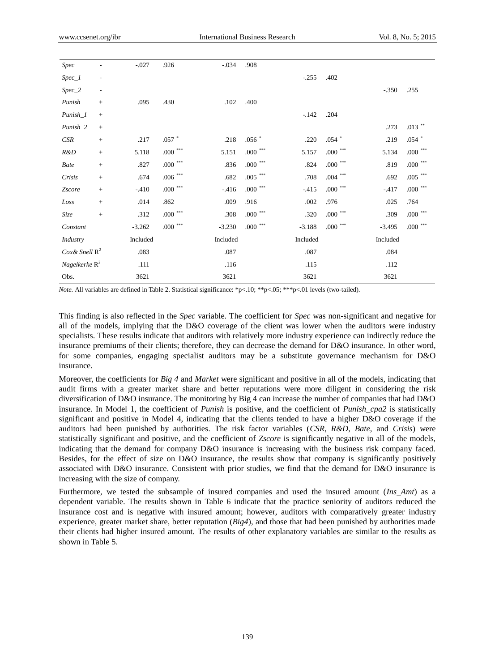| <b>Spec</b>      |                          | $-.027$  | .926                                   | $-.034$  | .908              |          |                                        |          |                      |
|------------------|--------------------------|----------|----------------------------------------|----------|-------------------|----------|----------------------------------------|----------|----------------------|
| $Spec_1$         | $\overline{\phantom{a}}$ |          |                                        |          |                   | $-.255$  | .402                                   |          |                      |
| $Spec_2$         | $\overline{\phantom{a}}$ |          |                                        |          |                   |          |                                        | $-.350$  | .255                 |
| Punish           | $^{+}$                   | .095     | .430                                   | .102     | .400              |          |                                        |          |                      |
| Punish_1         | $+$                      |          |                                        |          |                   | $-.142$  | .204                                   |          |                      |
| Punish_2         |                          |          |                                        |          |                   |          |                                        | .273     | $.013$ $^{\ast\ast}$ |
| CSR              | $^{+}$                   | .217     | .057 $*$                               | .218     | $.056$ $*$        | .220     | $.054$ $*$                             | .219     | $.054$ $*$           |
| R&D              | $\! +$                   | 5.118    | $.000$ $^{***}\;$                      | 5.151    | $.000$ $^{***}\;$ | 5.157    | $.000$ $^{***}\;$                      | 5.134    | $.000$ $^{***}\;$    |
| <b>Bate</b>      | $^{+}$                   | .827     | $.000$ $^{***}\;$                      | .836     | $.000$ $^{***}\;$ | .824     | $.000$ $^{***}\;$                      | .819     | $.000$ $^{***}\;$    |
| Crisis           | $\! +$                   | .674     | $.006$ $\hspace{0.1cm}^{\ast\ast\ast}$ | .682     | $.005$ ***        | .708     | $.004$ $\hspace{0.1cm}^{\ast\ast\ast}$ | .692     | $.005$ $^{***}\;$    |
| Zscore           | $\! +$                   | $-410$   | $.000$ $^{***}\;$                      | $-416$   | $.000$ $^{***}\;$ | $-415$   | $.000$ ***                             | $-417$   | $.000$ $^{***}\;$    |
| Loss             | $\! +$                   | .014     | .862                                   | .009     | .916              | .002     | .976                                   | .025     | .764                 |
| Size             | $^{+}$                   | .312     | $.000$ $^{***}\;$                      | .308     | $.000$ $^{***}\;$ | .320     | $.000$ $^{***}\;$                      | .309     | $.000$ $^{***}\;$    |
| Constant         |                          | $-3.262$ | $.000$ $^{***}\;$                      | $-3.230$ | $.000$ $^{***}\;$ | $-3.188$ | $.000$ $^{***}\;$                      | $-3.495$ | $.000$ $^{***}\;$    |
| Industry         |                          | Included |                                        | Included |                   | Included |                                        | Included |                      |
| Cox& Snell $R^2$ |                          | .083     |                                        | .087     |                   | .087     |                                        | .084     |                      |
| Nagelkerke $R^2$ |                          | .111     |                                        | .116     |                   | .115     |                                        | .112     |                      |
| Obs.             |                          | 3621     |                                        | 3621     |                   | 3621     |                                        | 3621     |                      |

*Note.* All variables are defined in Table 2. Statistical significance: \*p<.10; \*\*p<.05; \*\*\*p<.01 levels (two-tailed).

This finding is also reflected in the *Spec* variable. The coefficient for *Spec* was non-significant and negative for all of the models, implying that the D&O coverage of the client was lower when the auditors were industry specialists. These results indicate that auditors with relatively more industry experience can indirectly reduce the insurance premiums of their clients; therefore, they can decrease the demand for D&O insurance. In other word, for some companies, engaging specialist auditors may be a substitute governance mechanism for D&O insurance.

Moreover, the coefficients for *Big 4* and *Market* were significant and positive in all of the models, indicating that audit firms with a greater market share and better reputations were more diligent in considering the risk diversification of D&O insurance. The monitoring by Big 4 can increase the number of companies that had D&O insurance. In Model 1, the coefficient of *Punish* is positive, and the coefficient of *Punish\_cpa2* is statistically significant and positive in Model 4, indicating that the clients tended to have a higher D&O coverage if the auditors had been punished by authorities. The risk factor variables (*CSR*, *R&D*, *Bate*, and *Crisis*) were statistically significant and positive, and the coefficient of *Zscore* is significantly negative in all of the models, indicating that the demand for company D&O insurance is increasing with the business risk company faced. Besides, for the effect of size on D&O insurance, the results show that company is significantly positively associated with D&O insurance. Consistent with prior studies, we find that the demand for D&O insurance is increasing with the size of company.

Furthermore, we tested the subsample of insured companies and used the insured amount (*Ins\_Amt*) as a dependent variable. The results shown in Table 6 indicate that the practice seniority of auditors reduced the insurance cost and is negative with insured amount; however, auditors with comparatively greater industry experience, greater market share, better reputation  $(Big4)$ , and those that had been punished by authorities made their clients had higher insured amount. The results of other explanatory variables are similar to the results as shown in Table 5.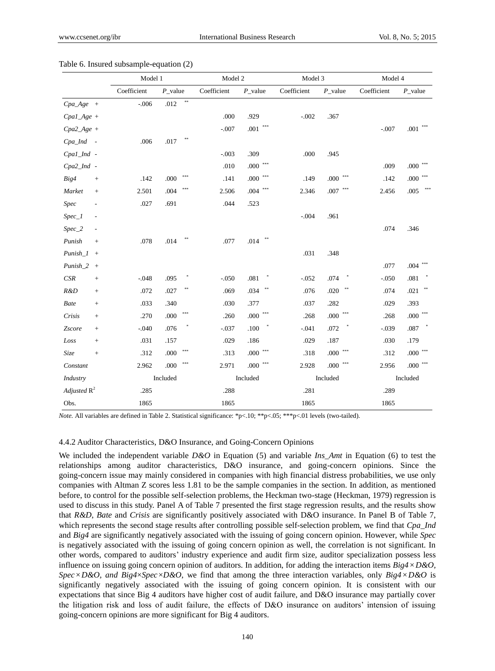|                         |                          | Model 1     |            |           | Model 2     |               | Model 3     |                       | Model 4     |                                        |
|-------------------------|--------------------------|-------------|------------|-----------|-------------|---------------|-------------|-----------------------|-------------|----------------------------------------|
|                         |                          | Coefficient | $P$ _value |           | Coefficient | $P$ _value    | Coefficient | $P_{value}$           | Coefficient | $P$ _value                             |
| $Cpa\_Age +$            |                          | $-.006$     | .012       | $\approx$ |             |               |             |                       |             |                                        |
| $Cpal\_Age +$           |                          |             |            |           | .000        | .929          | $-.002$     | .367                  |             |                                        |
| $Cpa2_Age +$            |                          |             |            |           | $-.007$     | ***<br>.001   |             |                       | $-.007$     | $.001$ <sup>***</sup>                  |
| $Cpa\_Ind -$            |                          | .006        | .017       |           |             |               |             |                       |             |                                        |
| $Cpal\_Ind -$           |                          |             |            |           | $-.003$     | .309          | .000        | .945                  |             |                                        |
| $Cpa2\_Ind$ -           |                          |             |            |           | .010        | ***<br>.000   |             |                       | .009        | $.000$ $\hspace{0.1cm}^{\ast\ast\ast}$ |
| Big4                    | $+$                      | .142        | .000       | ***       | .141        | ***<br>.000   | .149        | ***<br>.000           | .142        | $.000$ $\hspace{0.1cm}^{\ast\ast\ast}$ |
| Market                  | $+$                      | 2.501       | .004       | $***$     | 2.506       | ***<br>$.004$ | 2.346       | ***<br>$.007$         | 2.456       | .005                                   |
| <b>Spec</b>             |                          | .027        | .691       |           | .044        | .523          |             |                       |             |                                        |
| $Spec_1$                | $\overline{\phantom{a}}$ |             |            |           |             |               | $-.004$     | .961                  |             |                                        |
| $Spec_2$                | $\overline{\phantom{a}}$ |             |            |           |             |               |             |                       | .074        | .346                                   |
| Punish                  | $+$                      | .078        | $.014\,$   | $\approx$ | .077        | **<br>$.014$  |             |                       |             |                                        |
| $Punish_1 +$            |                          |             |            |           |             |               | .031        | .348                  |             |                                        |
| $Punish_2$              | $+$                      |             |            |           |             |               |             |                       | .077        | $.004$ $\hspace{0.1cm}^{\ast\ast\ast}$ |
| CSR                     | $+$                      | $-.048$     | .095       |           | $-.050$     | .081          | $-.052$     | .074                  | $-.050$     | .081                                   |
| R&D                     | $+$                      | .072        | .027       | **        | .069        | **<br>.034    | .076        | **<br>.020            | .074        | .021                                   |
| <b>Bate</b>             | $^{+}$                   | .033        | .340       |           | .030        | .377          | .037        | .282                  | .029        | .393                                   |
| Crisis                  | $+$                      | .270        | $.000$     | ***       | .260        | ***<br>.000   | .268        | ***<br>.000           | .268        | $.000$ $\hspace{0.1cm}^{\ast\ast\ast}$ |
| Zscore                  | $+$                      | $-.040$     | .076       |           | $-.037$     | .100          | $-.041$     | .072                  | $-.039$     | .087                                   |
| Loss                    | $+$                      | .031        | .157       |           | .029        | .186          | .029        | .187                  | .030        | .179                                   |
| Size                    | $^{+}$                   | .312        | .000       | ***       | .313        | ***<br>$.000$ | .318        | ***<br>.000           | .312        | $.000$ $^{***}\;$                      |
| Constant                |                          | 2.962       | .000       | ***       | 2.971       | ***<br>.000   | 2.928       | $.000$ <sup>***</sup> | 2.956       | $.000$ $\hspace{0.1cm}^{\ast\ast\ast}$ |
| Industry                |                          |             | Included   |           |             | Included      |             | Included              |             | Included                               |
| Adjusted $\mathbb{R}^2$ |                          | .285        |            |           | .288        |               | .281        |                       | .289        |                                        |
| Obs.                    |                          | 1865        |            |           | 1865        |               | 1865        |                       | 1865        |                                        |

## Table 6. Insured subsample-equation (2)

*Note.* All variables are defined in Table 2. Statistical significance: \*p<.10; \*\*p<.05; \*\*\*p<.01 levels (two-tailed).

#### 4.4.2 Auditor Characteristics, D&O Insurance, and Going-Concern Opinions

We included the independent variable *D&O* in Equation (5) and variable *Ins\_Amt* in Equation (6) to test the relationships among auditor characteristics, D&O insurance, and going-concern opinions. Since the going-concern issue may mainly considered in companies with high financial distress probabilities, we use only companies with Altman Z scores less 1.81 to be the sample companies in the section. In addition, as mentioned before, to control for the possible self-selection problems, the Heckman two-stage (Heckman, 1979) regression is used to discuss in this study. Panel A of Table 7 presented the first stage regression results, and the results show that *R&D*, *Bate* and *Crisis* are significantly positively associated with D&O insurance. In Panel B of Table 7, which represents the second stage results after controlling possible self-selection problem, we find that *Cpa\_Ind* and *Big4* are significantly negatively associated with the issuing of going concern opinion. However, while *Spec* is negatively associated with the issuing of going concern opinion as well, the correlation is not significant. In other words, compared to auditors' industry experience and audit firm size, auditor specialization possess less influence on issuing going concern opinion of auditors. In addition, for adding the interaction items  $Big4 \times D\&O$ , *Spec*×*D&O, and Big4*×*Spec*×*D&O*, we find that among the three interaction variables, only *Big4*×*D&O* is significantly negatively associated with the issuing of going concern opinion. It is consistent with our expectations that since Big 4 auditors have higher cost of audit failure, and D&O insurance may partially cover the litigation risk and loss of audit failure, the effects of D&O insurance on auditors' intension of issuing going-concern opinions are more significant for Big 4 auditors.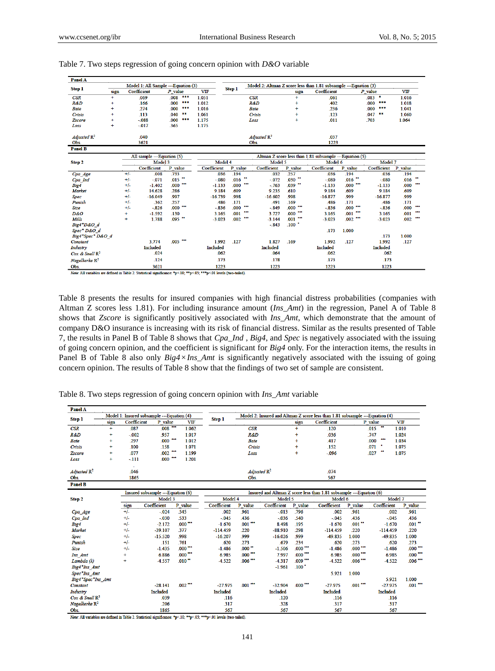| Panel A                 |      |                                      |                              |                 |               |                                                                  |                          |                                                         |             |                 |         |                         |
|-------------------------|------|--------------------------------------|------------------------------|-----------------|---------------|------------------------------------------------------------------|--------------------------|---------------------------------------------------------|-------------|-----------------|---------|-------------------------|
|                         |      | Model 1: All Sample --- Equation (3) |                              |                 |               | Model 2: Altman Z score less than 1.81 subsample ---Equation (3) |                          |                                                         |             |                 |         |                         |
| <b>Step 1</b>           | sign | Coefficient                          | $P$ value                    | <b>VIF</b>      | <b>Step 1</b> |                                                                  | sign                     | Coefficient                                             |             | $P$ value       | VIF     |                         |
| CSR                     | ÷    | .069                                 | $.008$ ***                   | 1.051           |               | CSR                                                              | $+$                      | .061                                                    |             | $.083$ *        | 1.016   |                         |
| <b>R&amp;D</b>          | $+$  | .166                                 | ***<br>.000                  | 1.012           |               | <b>R&amp;D</b>                                                   | $\ddot{}$                | .402                                                    |             | ***<br>.000     | 1.018   |                         |
| <b>Bate</b>             | ÷    | .274                                 | ***<br>.000                  | 1.016           |               | <b>Bate</b>                                                      | $+$                      | .236                                                    |             | ***<br>.000     | 1.041   |                         |
| Crisis                  | ÷    | .113                                 | **<br>.040                   | 1.061           |               | Crisis                                                           | $\ddot{}$                | .123                                                    |             | **<br>.047      | 1.060   |                         |
| <b>Zscore</b>           | ÷    | $-088$                               | ***<br>.000                  | 1.175           |               | Loss                                                             | $\ddot{}$                | .011                                                    |             | .703            | 1.064   |                         |
| Loss                    | ÷    | $-.017$                              | 365                          | 1.175           |               |                                                                  |                          |                                                         |             |                 |         |                         |
| Adjusted $\mathbb{R}^2$ |      | .040                                 |                              |                 |               | $Adj$ usted $\mathbb{R}^2$                                       |                          | .037                                                    |             |                 |         |                         |
| Obs.                    |      | 3621                                 |                              |                 |               | Obs.                                                             |                          | 1223                                                    |             |                 |         |                         |
| <b>Panel B</b>          |      |                                      |                              |                 |               |                                                                  |                          |                                                         |             |                 |         |                         |
|                         |      | All sample ---Equation (5)           |                              |                 |               |                                                                  |                          | Altman Z score less than 1.81 subsample ---Equation (5) |             |                 |         |                         |
| Step 2                  |      | Model 3                              |                              | Model 4         |               | Model 5                                                          |                          | Model 6                                                 |             | Model 7         |         |                         |
|                         |      | Coefficient                          | P value                      | Coefficient     | P value       | Coefficient                                                      | P value                  | Coefficient                                             | P value     | Coefficient     | P value |                         |
| Cpa Age                 |      | $+/-$<br>.008                        | .733                         | .036            | .194          | .032                                                             | .257                     | .036                                                    | .194        | .036            | .194    |                         |
| Cpa Ind                 |      | $+/-$<br>$-.071$                     | $\bullet\bullet$<br>.015     | $-080$          | 66<br>.016    | $-0.072$                                                         | $\bullet\bullet$<br>.030 | $-080$                                                  | 66<br>.016  | $-.080$         | .016    |                         |
| Big4                    |      | $+/-$<br>$-1.402$                    | $\cdots$<br>.000             | $-1.133$        | 666<br>.000   | $-763$                                                           | $.039$ **                | $-1.133$                                                | 666<br>.000 | $-1.133$        | .000    |                         |
| <b>Market</b>           |      | $+/-$<br>14.628                      | .286                         | 9.184           | .609          | 9.235                                                            | .610                     | 9.184                                                   | .609        | 9.184           | .609    |                         |
| <b>Spec</b>             |      | $+/-$<br>$-16.049$                   | .997                         | $-16.739$       | .998          | $-16.602$                                                        | 998                      | $-16.877$                                               | .999        | $-16.877$       | .999    |                         |
| Punish                  |      | $+/-$<br>.362                        | .257                         | .486            | .171          | .491                                                             | .169                     | .486                                                    | .171        | .486            | .171    |                         |
| Size                    |      | $+/-$<br>$-.826$                     | $\ddot{\phantom{0}}$<br>.000 | $-836$          | <br>.000      | $-849$                                                           | $\cdots$<br>.000         | $-836$                                                  | <br>.000    | $-.836$         | .000    | $\bullet\bullet\bullet$ |
| D&O                     |      | $-1.592$<br>÷                        | .130                         | 3.165           | 666<br>.001   | 3.727                                                            | <br>.000                 | 3.165                                                   | 888<br>.001 | 3.165           | .001    |                         |
| Mills                   |      | 1.788<br>$\ddot{}$                   | $.095$ **                    | $-3.023$        | 644<br>.002   | $-3.144$                                                         | $\bullet$<br>.001        | $-3.023$                                                | 688<br>.002 | $-3.023$        | .002    | - - -                   |
| Big4*D&O d              |      |                                      |                              |                 |               | $-.843$                                                          | $.100$ $\cdot$           |                                                         |             |                 |         |                         |
| Spec* D&O d             |      |                                      |                              |                 |               |                                                                  |                          | .173                                                    | 1.000       |                 |         |                         |
| Big4*Spec* D&O d        |      |                                      |                              |                 |               |                                                                  |                          |                                                         |             | .173            | 1.000   |                         |
| <b>Constant</b>         |      | 3.774                                | $\bullet$<br>.005            | 1.992           | .127          | 1.827                                                            | .169                     | 1.992                                                   | .127        | 1.992           | .127    |                         |
| Industry                |      | <b>Included</b>                      |                              | <b>Included</b> |               | <b>Included</b>                                                  |                          | <b>Included</b>                                         |             | <b>Included</b> |         |                         |
| $Cox \& Snell R^2$      |      | .024                                 |                              | .062            |               | .064                                                             |                          | .062                                                    |             | .062            |         |                         |
| Nagelkerke $R^2$        |      | .124                                 |                              | .173            |               | .178                                                             |                          | .173                                                    |             | .173            |         |                         |
| Obs.                    |      | 3621                                 |                              | 1223            |               | 1223                                                             |                          | 1223                                                    |             | 1223            |         |                         |

#### Table 7. Two steps regression of going concern opinion with *D&O* variable

Note: All variables are defined in Table 2. Statistical significance: \*p<.10; \*\*p<.05; \*\*\*p<.01 levels (two-tailed).

Table 8 presents the results for insured companies with high financial distress probabilities (companies with Altman Z scores less 1.81). For including insurance amount (*Ins\_Amt*) in the regression, Panel A of Table 8 shows that *Zscore* is significantly positively associated with *Ins\_Amt*, which demonstrate that the amount of company D&O insurance is increasing with its risk of financial distress. Similar as the results presented of Table 7, the results in Panel B of Table 8 shows that *Cpa\_Ind* , *Big4*, and *Spec* is negatively associated with the issuing of going concern opinion, and the coefficient is significant for *Big4* only. For the interaction items, the results in Panel B of Table 8 also only *Big4*×*Ins\_Amt* is significantly negatively associated with the issuing of going concern opinion. The results of Table 8 show that the findings of two set of sample are consistent.

Table 8. Two steps regression of going concern opinion with *Ins\_Amt* variable

| <b>Panel A</b>             |           |                      |                                             |              |                 |                          |                         |                |                                                                               |            |                          |            |
|----------------------------|-----------|----------------------|---------------------------------------------|--------------|-----------------|--------------------------|-------------------------|----------------|-------------------------------------------------------------------------------|------------|--------------------------|------------|
|                            |           |                      | Model 1: Insured subsample --- Equation (4) |              |                 |                          |                         |                | Model 2: Insured and Altman Z score less than 1.81 subsample --- Equation (4) |            |                          |            |
| <b>Step 1</b>              | sign      | Coefficient          | P value                                     | VIF          | <b>Step 1</b>   |                          |                         | sign           | Coefficient                                                                   |            | P value                  | <b>VIF</b> |
| <b>CSR</b>                 | $\ddot{}$ | .087                 | $.008$ ***                                  | 1.062        |                 | CSR                      |                         | $+$            | .120                                                                          |            | .015                     | 1.010      |
| <b>R&amp;D</b>             | ÷         | $-0.002$             | .957                                        | 1.017        |                 | <b>R&amp;D</b>           |                         | $\ddot{}$      | .036                                                                          |            | .747                     | 1.024      |
| <b>Bate</b>                | ÷         | .297                 | .000                                        | 666<br>1.012 |                 | <b>Bate</b>              |                         | ÷              | .417                                                                          |            | .000                     | 1.034      |
| Crisis                     | $\ddot{}$ | .100                 | .158                                        | 1.071        |                 | Crisis                   |                         | ÷              | .152                                                                          |            | .071                     | 1.075      |
| <b>Zscore</b>              | $\ddot{}$ | .077                 | .002                                        | <br>1.199    |                 | Loss                     |                         | $\ddot{}$      | $-0.096$                                                                      |            | $\bullet\bullet$<br>.027 | 1.075      |
| Loss                       | ÷         | $-111$               | $.000$ $\cdots$                             | 1.201        |                 |                          |                         |                |                                                                               |            |                          |            |
| Adjusted $\mathbb{R}^2$    |           | $\mathbf{r}$<br>.046 |                                             |              |                 |                          | Adjusted $\mathbb{R}^2$ |                | .074                                                                          |            |                          |            |
| Obs.                       |           | 1865                 |                                             |              |                 | Obs.                     |                         |                | 567                                                                           |            |                          |            |
| <b>Panel B</b>             |           |                      |                                             |              |                 |                          |                         |                |                                                                               |            |                          |            |
|                            |           |                      | Insured subsample --- Equation (6)          |              |                 |                          |                         |                | Insured and Altman Z score less than 1.81 subsample --- Equation (6)          |            |                          |            |
| <b>Step 2</b>              |           |                      | Model 3                                     |              | Model 4         |                          | Model 5                 |                | Model 6                                                                       |            | Model 7                  |            |
|                            |           | sign                 | Coefficient                                 | P value      | Coefficient     | P value                  | Coefficient             | P value        | Coefficient                                                                   | P value    | Coefficient              | P value    |
| Cpa Age                    |           | $+/-$                | $-.024$                                     | .545         | .002            | .961                     | $-.013$                 | .796           | .002                                                                          | .961       | .002                     | .961       |
| Cpa_Ind                    |           | $+/-$                | $-.030$                                     | .533         | $-0.045$        | .436                     | $-0.036$                | .540           | $-0.045$                                                                      | .436       | $-0.045$                 | .436       |
| Big4                       |           | $+/-$                | $-2.172$                                    | .000         | $-1.670$        | $.001$ ***               | 8.498                   | .195           | $-1.670$                                                                      | $.001$ **  | $-1.670$                 | $.001$ **  |
| <b>Market</b>              |           | $+/-$                | $-39.107$                                   | .377         | $-114.459$      | .220                     | $-88.910$               | .298           | $-114.459$                                                                    | .220       | $-114.459$               | .220       |
| <b>Spec</b>                |           | $+/-$                | $-15.520$                                   | .998         | $-16.207$       | .999                     | $-16.026$               | .999           | -49.835                                                                       | 1.000      | -49.835                  | 1.000      |
| Punish                     |           | $+/-$                | .151                                        | .761         | .620            | .273                     | .679                    | .234           | .620                                                                          | .273       | .620                     | .273       |
| <b>Size</b>                |           | $+/-$                | $-1.435$                                    | .000         | $-1.486$        | $.000 -$                 | $-1.506$                | .000           | $-1.486$                                                                      | .000       | $-1.486$                 | .000       |
| Ins Amt                    |           | $\ddot{}$            | 6.886                                       | .000         | 6.985           | $\cdot \cdot \cdot$ 000. | 7.997                   | .000           | 6.985                                                                         | .000       | 6.985                    | .000       |
| $Lambda(\lambda)$          |           | ÷                    | $-4.557$                                    | $.010 -$     | $-4.522$        | $.006$ ***               | $-4.317$                | $.009$ ***     | $-4.522$                                                                      | .006       | $-4.522$                 | $.006$ *** |
| Big4*Ins Amt               |           |                      |                                             |              |                 |                          | $-1.961$                | $.100^{\circ}$ |                                                                               |            |                          |            |
| Spec*Ins Amt               |           |                      |                                             |              |                 |                          |                         |                | 5.921                                                                         | 1.000      |                          |            |
| Big4*Spec*Ins Amt          |           |                      |                                             |              |                 |                          |                         |                |                                                                               |            | 5.921                    | 1.000      |
| <b>Constant</b>            |           |                      | $-28.141$                                   | $.002$ ***   | $-27.975$       | $.001$ ***               | $-32.904$               | .000           | $-27.975$                                                                     | $.001$ *** | $-27.975$                | $.001$ *** |
| <b>Industry</b>            |           |                      | <b>Included</b>                             |              | <b>Included</b> |                          | <b>Included</b>         |                | <b>Included</b>                                                               |            | <b>Included</b>          |            |
| Cox & Snell $\mathbb{R}^2$ |           |                      | .039                                        |              | .116            |                          | .120                    |                | .116                                                                          |            | .116                     |            |
| Nagelkerke $\mathbb{R}^2$  |           |                      | .206                                        |              | .317            |                          | .328                    |                | .317                                                                          |            | 317                      |            |
| Obs.                       |           |                      | 1865                                        |              | 567             |                          | 567                     |                | 567                                                                           |            | 567                      |            |

Note: All variables are defined in Table 2. Statistical significance: \*p<.10; \*\*p<.05; \*\*\*p<.01 levels (two-tailed).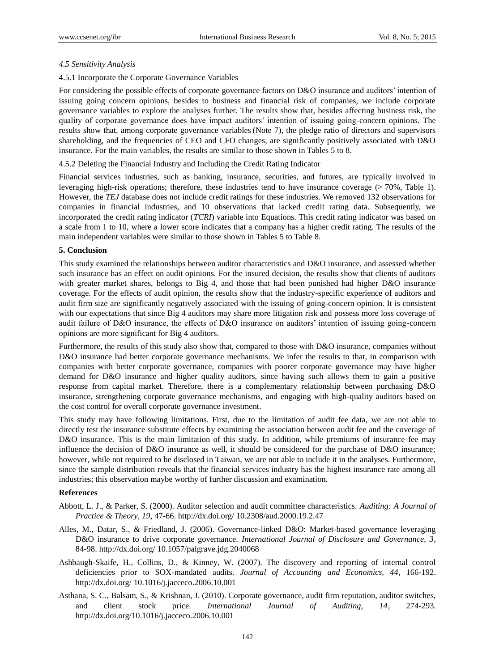## *4.5 Sensitivity Analysis*

#### 4.5.1 Incorporate the Corporate Governance Variables

For considering the possible effects of corporate governance factors on D&O insurance and auditors' intention of issuing going concern opinions, besides to business and financial risk of companies, we include corporate governance variables to explore the analyses further. The results show that, besides affecting business risk, the quality of corporate governance does have impact auditors' intention of issuing going-concern opinions. The results show that, among corporate governance variables(Note 7), the pledge ratio of directors and supervisors shareholding, and the frequencies of CEO and CFO changes, are significantly positively associated with D&O insurance. For the main variables, the results are similar to those shown in Tables 5 to 8.

4.5.2 Deleting the Financial Industry and Including the Credit Rating Indicator

Financial services industries, such as banking, insurance, securities, and futures, are typically involved in leveraging high-risk operations; therefore, these industries tend to have insurance coverage (> 70%, Table 1). However, the *TEJ* database does not include credit ratings for these industries. We removed 132 observations for companies in financial industries, and 10 observations that lacked credit rating data. Subsequently, we incorporated the credit rating indicator (*TCRI*) variable into Equations. This credit rating indicator was based on a scale from 1 to 10, where a lower score indicates that a company has a higher credit rating. The results of the main independent variables were similar to those shown in Tables 5 to Table 8.

#### **5. Conclusion**

This study examined the relationships between auditor characteristics and D&O insurance, and assessed whether such insurance has an effect on audit opinions. For the insured decision, the results show that clients of auditors with greater market shares, belongs to Big 4, and those that had been punished had higher D&O insurance coverage. For the effects of audit opinion, the results show that the industry-specific experience of auditors and audit firm size are significantly negatively associated with the issuing of going-concern opinion. It is consistent with our expectations that since Big 4 auditors may share more litigation risk and possess more loss coverage of audit failure of D&O insurance, the effects of D&O insurance on auditors' intention of issuing going-concern opinions are more significant for Big 4 auditors.

Furthermore, the results of this study also show that, compared to those with D&O insurance, companies without D&O insurance had better corporate governance mechanisms. We infer the results to that, in comparison with companies with better corporate governance, companies with poorer corporate governance may have higher demand for D&O insurance and higher quality auditors, since having such allows them to gain a positive response from capital market. Therefore, there is a complementary relationship between purchasing D&O insurance, strengthening corporate governance mechanisms, and engaging with high-quality auditors based on the cost control for overall corporate governance investment.

This study may have following limitations. First, due to the limitation of audit fee data, we are not able to directly test the insurance substitute effects by examining the association between audit fee and the coverage of D&O insurance. This is the main limitation of this study. In addition, while premiums of insurance fee may influence the decision of D&O insurance as well, it should be considered for the purchase of D&O insurance; however, while not required to be disclosed in Taiwan, we are not able to include it in the analyses. Furthermore, since the sample distribution reveals that the financial services industry has the highest insurance rate among all industries; this observation maybe worthy of further discussion and examination.

## **References**

- Abbott, L. J., & Parker, S. (2000). Auditor selection and audit committee characteristics. *Auditing: A Journal of Practice & Theory, 19*, 47-66. http://dx.doi.org/ 10.2308/aud.2000.19.2.47
- Alles, M., Datar, S., & Friedland, J. (2006). Governance-linked D&O: Market-based governance leveraging D&O insurance to drive corporate governance. *International Journal of Disclosure and Governance, 3*, 84-98. http://dx.doi.org/ 10.1057/palgrave.jdg.2040068
- Ashbaugh-Skaife, H., Collins, D., & Kinney, W. (2007). The discovery and reporting of internal control deficiencies prior to SOX-mandated audits. *Journal of Accounting and Economics, 44*, 166-192. http://dx.doi.org/ 10.1016/j.jacceco.2006.10.001
- Asthana, S. C., Balsam, S., & Krishnan, J. (2010). Corporate governance, audit firm reputation, auditor switches, and client stock price. *International Journal of Auditing, 14*, 274-293. http://dx.doi.org/10.1016/j.jacceco.2006.10.001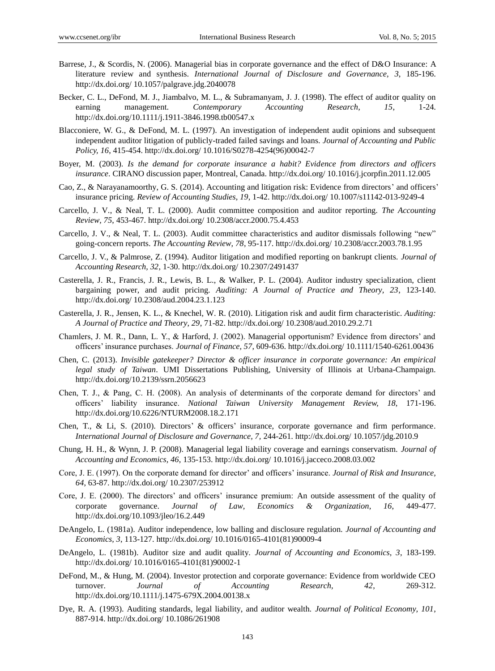- Barrese, J., & Scordis, N. (2006). Managerial bias in corporate governance and the effect of D&O Insurance: A literature review and synthesis. *International Journal of Disclosure and Governance, 3*, 185-196. http://dx.doi.org/ 10.1057/palgrave.jdg.2040078
- Becker, C. L., DeFond, M. J., Jiambalvo, M. L., & Subramanyam, J. J. (1998). The effect of auditor quality on earning management. *Contemporary Accounting Research, 15*, 1-24. http://dx.doi.org/10.1111/j.1911-3846.1998.tb00547.x
- Blacconiere, W. G., & DeFond, M. L. (1997). An investigation of independent audit opinions and subsequent independent auditor litigation of publicly-traded failed savings and loans. *Journal of Accounting and Public Policy, 16*, 415-454. http://dx.doi.org/ 10.1016/S0278-4254(96)00042-7
- Boyer, M. (2003). *Is the demand for corporate insurance a habit? Evidence from directors and officers insurance*. CIRANO discussion paper, Montreal, Canada. http://dx.doi.org/ 10.1016/j.jcorpfin.2011.12.005
- Cao, Z., & Narayanamoorthy, G. S. (2014). Accounting and litigation risk: Evidence from directors' and officers' insurance pricing. *Review of Accounting Studies, 19*, 1-42. http://dx.doi.org/ 10.1007/s11142-013-9249-4
- Carcello, J. V., & Neal, T. L. (2000). Audit committee composition and auditor reporting. *The Accounting Review, 75*, 453-467. http://dx.doi.org/ 10.2308/accr.2000.75.4.453
- Carcello, J. V., & Neal, T. L. (2003). Audit committee characteristics and auditor dismissals following "new" going-concern reports. *The Accounting Review, 78*, 95-117. http://dx.doi.org/ 10.2308/accr.2003.78.1.95
- Carcello, J. V., & Palmrose, Z. (1994). Auditor litigation and modified reporting on bankrupt clients. *Journal of Accounting Research, 32*, 1-30. http://dx.doi.org/ 10.2307/2491437
- Casterella, J. R., Francis, J. R., Lewis, B. L., & Walker, P. L. (2004). Auditor industry specialization, client bargaining power, and audit pricing. *Auditing: A Journal of Practice and Theory, 23*, 123-140. http://dx.doi.org/ 10.2308/aud.2004.23.1.123
- Casterella, J. R., Jensen, K. L., & Knechel, W. R. (2010). Litigation risk and audit firm characteristic. *Auditing: A Journal of Practice and Theory, 29*, 71-82. http://dx.doi.org/ 10.2308/aud.2010.29.2.71
- Chamlers, J. M. R., Dann, L. Y., & Harford, J. (2002). Managerial opportunism? Evidence from directors' and officers' insurance purchases. *Journal of Finance, 57*, 609-636. http://dx.doi.org/ 10.1111/1540-6261.00436
- Chen, C. (2013). *Invisible gatekeeper? Director & officer insurance in corporate governance: An empirical legal study of Taiwan*. UMI Dissertations Publishing, University of Illinois at Urbana-Champaign. http://dx.doi.org/10.2139/ssrn.2056623
- Chen, T. J., & Pang, C. H. (2008). An analysis of determinants of the corporate demand for directors' and officers' liability insurance. *National Taiwan University Management Review, 18*, 171-196. http://dx.doi.org/10.6226/NTURM2008.18.2.171
- Chen, T., & Li, S. (2010). Directors' & officers' insurance, corporate governance and firm performance. *International Journal of Disclosure and Governance, 7,* 244-261. http://dx.doi.org/ 10.1057/jdg.2010.9
- Chung, H. H., & Wynn, J. P. (2008). Managerial legal liability coverage and earnings conservatism. *Journal of Accounting and Economics, 46*, 135-153. http://dx.doi.org/ 10.1016/j.jacceco.2008.03.002
- Core, J. E. (1997). On the corporate demand for director' and officers' insurance. *Journal of Risk and Insurance, 64*, 63-87. http://dx.doi.org/ 10.2307/253912
- Core, J. E. (2000). The directors' and officers' insurance premium: An outside assessment of the quality of corporate governance. *Journal of Law, Economics & Organization, 16*, 449-477. http://dx.doi.org/10.1093/jleo/16.2.449
- DeAngelo, L. (1981a). Auditor independence, low balling and disclosure regulation. *Journal of Accounting and Economics, 3*, 113-127. http://dx.doi.org/ 10.1016/0165-4101(81)90009-4
- DeAngelo, L. (1981b). Auditor size and audit quality. *Journal of Accounting and Economics, 3*, 183-199. http://dx.doi.org/ 10.1016/0165-4101(81)90002-1
- DeFond, M., & Hung, M. (2004). Investor protection and corporate governance: Evidence from worldwide CEO turnover. *Journal of Accounting Research, 42*, 269-312. http://dx.doi.org/10.1111/j.1475-679X.2004.00138.x
- Dye, R. A. (1993). Auditing standards, legal liability, and auditor wealth. *Journal of Political Economy, 101*, 887-914. http://dx.doi.org/ 10.1086/261908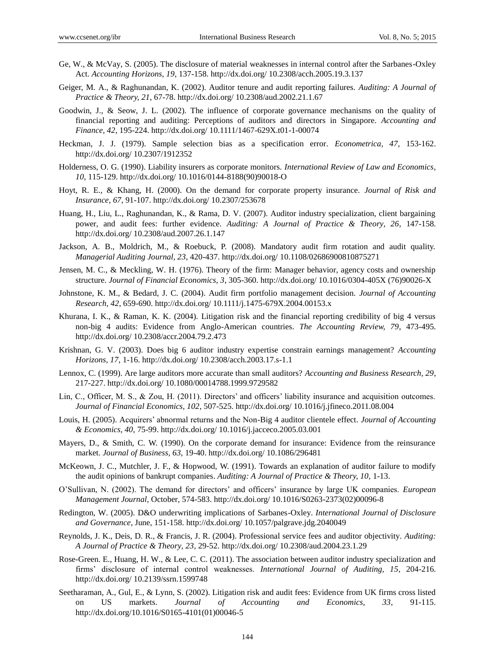- Ge, W., & McVay, S. (2005). The disclosure of material weaknesses in internal control after the Sarbanes-Oxley Act. *Accounting Horizons, 19*, 137-158. http://dx.doi.org/ 10.2308/acch.2005.19.3.137
- Geiger, M. A., & Raghunandan, K. (2002). Auditor tenure and audit reporting failures. *Auditing: A Journal of Practice & Theory, 21*, 67-78. http://dx.doi.org/ 10.2308/aud.2002.21.1.67
- Goodwin, J., & Seow, J. L. (2002). The influence of corporate governance mechanisms on the quality of financial reporting and auditing: Perceptions of auditors and directors in Singapore. *Accounting and Finance, 42*, 195-224. http://dx.doi.org/ 10.1111/1467-629X.t01-1-00074
- Heckman, J. J. (1979). Sample selection bias as a specification error. *Econometrica, 47*, 153-162. http://dx.doi.org/ 10.2307/1912352
- Holderness, O. G. (1990). Liability insurers as corporate monitors. *International Review of Law and Economics*, *10*, 115-129. http://dx.doi.org/ 10.1016/0144-8188(90)90018-O
- Hoyt, R. E., & Khang, H. (2000). On the demand for corporate property insurance. *Journal of Risk and Insurance, 67*, 91-107. http://dx.doi.org/ 10.2307/253678
- Huang, H., Liu, L., Raghunandan, K., & Rama, D. V. (2007). Auditor industry specialization, client bargaining power, and audit fees: further evidence. *Auditing: A Journal of Practice & Theory, 26*, 147-158. http://dx.doi.org/ 10.2308/aud.2007.26.1.147
- Jackson, A. B., Moldrich, M., & Roebuck, P. (2008). Mandatory audit firm rotation and audit quality. *Managerial Auditing Journal, 23*, 420-437. http://dx.doi.org/ 10.1108/02686900810875271
- Jensen, M. C., & Meckling, W. H. (1976). Theory of the firm: Manager behavior, agency costs and ownership structure. *Journal of Financial Economics, 3*, 305-360. http://dx.doi.org/ 10.1016/0304-405X (76)90026-X
- Johnstone, K. M., & Bedard, J. C. (2004). Audit firm portfolio management decision. *Journal of Accounting Research, 42*, 659-690. http://dx.doi.org/ 10.1111/j.1475-679X.2004.00153.x
- Khurana, I. K., & Raman, K. K. (2004). Litigation risk and the financial reporting credibility of big 4 versus non-big 4 audits: Evidence from Anglo-American countries. *The Accounting Review, 79*, 473-495. http://dx.doi.org/ 10.2308/accr.2004.79.2.473
- Krishnan, G. V. (2003). Does big 6 auditor industry expertise constrain earnings management? *Accounting Horizons, 17*, 1-16. http://dx.doi.org/ 10.2308/acch.2003.17.s-1.1
- Lennox, C. (1999). Are large auditors more accurate than small auditors? *Accounting and Business Research, 29*, 217-227. http://dx.doi.org/ 10.1080/00014788.1999.9729582
- Lin, C., Officer, M. S., & Zou, H. (2011). Directors' and officers' liability insurance and acquisition outcomes. *Journal of Financial Economics, 102*, 507-525. http://dx.doi.org/ 10.1016/j.jfineco.2011.08.004
- Louis, H. (2005). Acquirers' abnormal returns and the Non-Big 4 auditor clientele effect. *Journal of Accounting & Economics, 40*, 75-99. http://dx.doi.org/ 10.1016/j.jacceco.2005.03.001
- Mayers, D., & Smith, C. W. (1990). On the corporate demand for insurance: Evidence from the reinsurance market. *Journal of Business, 63*, 19-40. http://dx.doi.org/ 10.1086/296481
- McKeown, J. C., Mutchler, J. F., & Hopwood, W. (1991). Towards an explanation of auditor failure to modify the audit opinions of bankrupt companies. *Auditing: A Journal of Practice & Theory, 10,* 1-13.
- O'Sullivan, N. (2002). The demand for directors' and officers' insurance by large UK companies. *European Management Journal*, October, 574-583. http://dx.doi.org/ 10.1016/S0263-2373(02)00096-8
- Redington, W. (2005). D&O underwriting implications of Sarbanes-Oxley. *International Journal of Disclosure and Governance*, June, 151-158. http://dx.doi.org/ 10.1057/palgrave.jdg.2040049
- Reynolds, J. K., Deis, D. R., & Francis, J. R. (2004). Professional service fees and auditor objectivity. *Auditing: A Journal of Practice & Theory, 23*, 29-52. http://dx.doi.org/ 10.2308/aud.2004.23.1.29
- Rose-Green. E., Huang, H. W., & Lee, C. C. (2011). The association between auditor industry specialization and firms' disclosure of internal control weaknesses. *International Journal of Auditing, 15*, 204-216. http://dx.doi.org/ 10.2139/ssrn.1599748
- Seetharaman, A., Gul, E., & Lynn, S. (2002). Litigation risk and audit fees: Evidence from UK firms cross listed on US markets. *Journal of Accounting and Economics, 33*, 91-115. http://dx.doi.org/10.1016/S0165-4101(01)00046-5